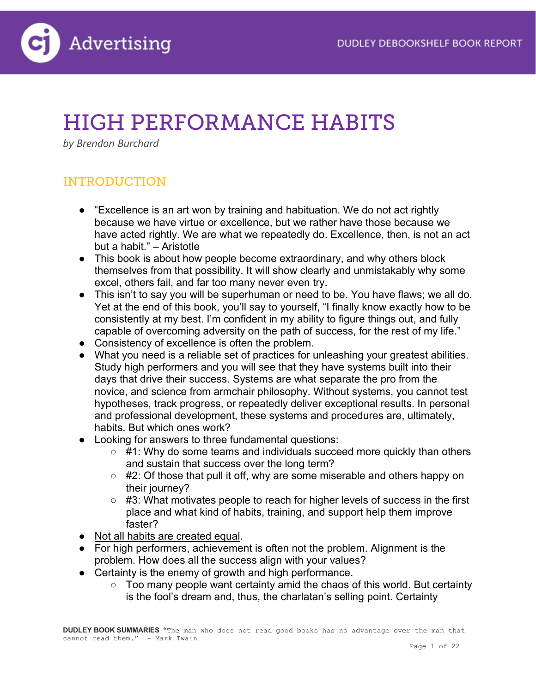

# HIGH PERFORMANCE HABITS

*by Brendon Burchard*

# INTRODUCTION

- "Excellence is an art won by training and habituation. We do not act rightly because we have virtue or excellence, but we rather have those because we have acted rightly. We are what we repeatedly do. Excellence, then, is not an act but a habit." – Aristotle
- This book is about how people become extraordinary, and why others block themselves from that possibility. It will show clearly and unmistakably why some excel, others fail, and far too many never even try.
- This isn't to say you will be superhuman or need to be. You have flaws; we all do. Yet at the end of this book, you'll say to yourself, "I finally know exactly how to be consistently at my best. I'm confident in my ability to figure things out, and fully capable of overcoming adversity on the path of success, for the rest of my life."
- Consistency of excellence is often the problem.
- What you need is a reliable set of practices for unleashing your greatest abilities. Study high performers and you will see that they have systems built into their days that drive their success. Systems are what separate the pro from the novice, and science from armchair philosophy. Without systems, you cannot test hypotheses, track progress, or repeatedly deliver exceptional results. In personal and professional development, these systems and procedures are, ultimately, habits. But which ones work?
- Looking for answers to three fundamental questions:
	- #1: Why do some teams and individuals succeed more quickly than others and sustain that success over the long term?
	- #2: Of those that pull it off, why are some miserable and others happy on their journey?
	- $\circ$  #3: What motivates people to reach for higher levels of success in the first place and what kind of habits, training, and support help them improve faster?
- Not all habits are created equal.
- For high performers, achievement is often not the problem. Alignment is the problem. How does all the success align with your values?
- Certainty is the enemy of growth and high performance.
	- Too many people want certainty amid the chaos of this world. But certainty is the fool's dream and, thus, the charlatan's selling point. Certainty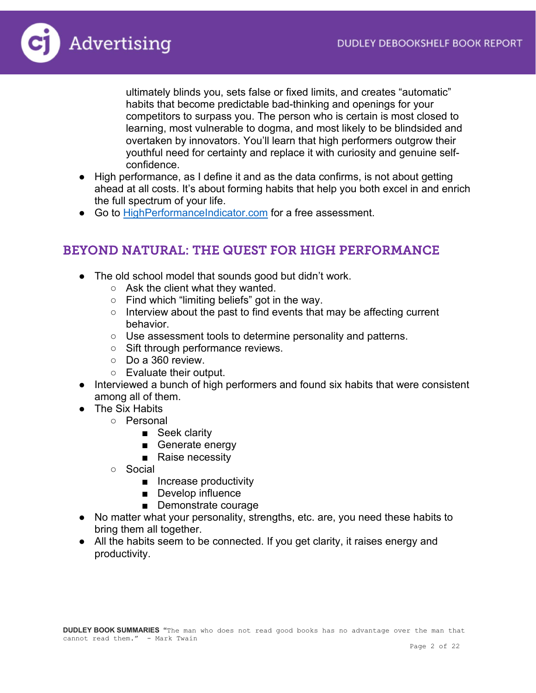Advertising

ultimately blinds you, sets false or fixed limits, and creates "automatic" habits that become predictable bad-thinking and openings for your competitors to surpass you. The person who is certain is most closed to learning, most vulnerable to dogma, and most likely to be blindsided and overtaken by innovators. You'll learn that high performers outgrow their youthful need for certainty and replace it with curiosity and genuine selfconfidence.

- High performance, as I define it and as the data confirms, is not about getting ahead at all costs. It's about forming habits that help you both excel in and enrich the full spectrum of your life.
- Go to [HighPerformanceIndicator.com](https://www.highperformanceindicator.com/) for a free assessment.

# BEYOND NATURAL: THE QUEST FOR HIGH PERFORMANCE

- The old school model that sounds good but didn't work.
	- Ask the client what they wanted.
	- Find which "limiting beliefs" got in the way.
	- Interview about the past to find events that may be affecting current behavior.
	- Use assessment tools to determine personality and patterns.
	- Sift through performance reviews.
	- Do a 360 review.
	- Evaluate their output.
- Interviewed a bunch of high performers and found six habits that were consistent among all of them.
- **The Six Habits** 
	- Personal
		- Seek clarity
		- Generate energy
		- Raise necessity
	- Social
		- Increase productivity
		- Develop influence
		- Demonstrate courage
- No matter what your personality, strengths, etc. are, you need these habits to bring them all together.
- All the habits seem to be connected. If you get clarity, it raises energy and productivity.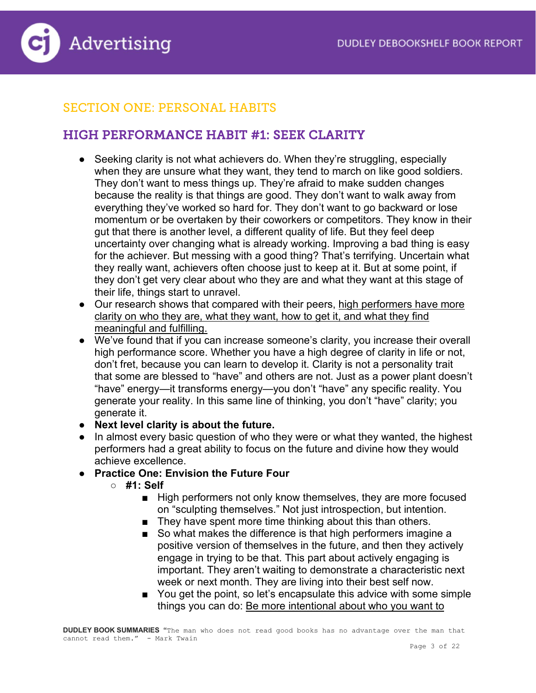

# SECTION ONE: PERSONAL HABITS

# HIGH PERFORMANCE HABIT #1: SEEK CLARITY

- Seeking clarity is not what achievers do. When they're struggling, especially when they are unsure what they want, they tend to march on like good soldiers. They don't want to mess things up. They're afraid to make sudden changes because the reality is that things are good. They don't want to walk away from everything they've worked so hard for. They don't want to go backward or lose momentum or be overtaken by their coworkers or competitors. They know in their gut that there is another level, a different quality of life. But they feel deep uncertainty over changing what is already working. Improving a bad thing is easy for the achiever. But messing with a good thing? That's terrifying. Uncertain what they really want, achievers often choose just to keep at it. But at some point, if they don't get very clear about who they are and what they want at this stage of their life, things start to unravel.
- Our research shows that compared with their peers, high performers have more clarity on who they are, what they want, how to get it, and what they find meaningful and fulfilling.
- We've found that if you can increase someone's clarity, you increase their overall high performance score. Whether you have a high degree of clarity in life or not, don't fret, because you can learn to develop it. Clarity is not a personality trait that some are blessed to "have" and others are not. Just as a power plant doesn't "have" energy—it transforms energy—you don't "have" any specific reality. You generate your reality. In this same line of thinking, you don't "have" clarity; you generate it.
- **Next level clarity is about the future.**
- In almost every basic question of who they were or what they wanted, the highest performers had a great ability to focus on the future and divine how they would achieve excellence.
- **Practice One: Envision the Future Four**
	- **#1: Self**
		- High performers not only know themselves, they are more focused on "sculpting themselves." Not just introspection, but intention.
		- They have spent more time thinking about this than others.
		- So what makes the difference is that high performers imagine a positive version of themselves in the future, and then they actively engage in trying to be that. This part about actively engaging is important. They aren't waiting to demonstrate a characteristic next week or next month. They are living into their best self now.
		- You get the point, so let's encapsulate this advice with some simple things you can do: Be more intentional about who you want to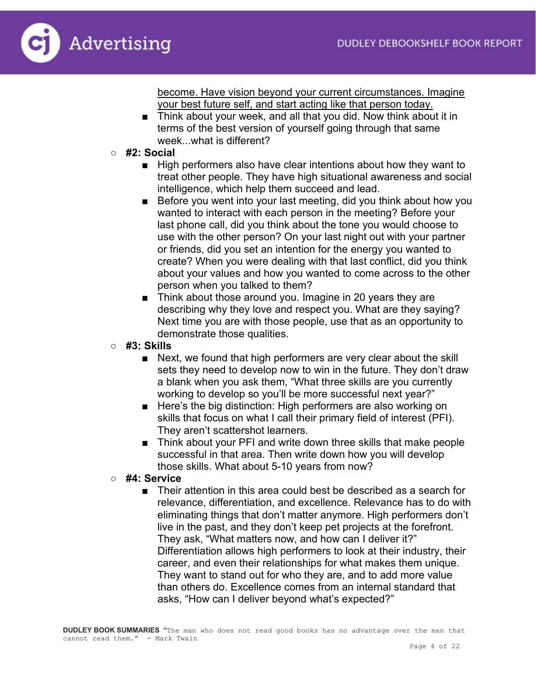

become. Have vision beyond your current circumstances. Imagine your best future self, and start acting like that person today.

- Think about your week, and all that you did. Now think about it in terms of the best version of yourself going through that same week...what is different?
- **#2: Social**
	- High performers also have clear intentions about how they want to treat other people. They have high situational awareness and social intelligence, which help them succeed and lead.
	- Before you went into your last meeting, did you think about how you wanted to interact with each person in the meeting? Before your last phone call, did you think about the tone you would choose to use with the other person? On your last night out with your partner or friends, did you set an intention for the energy you wanted to create? When you were dealing with that last conflict, did you think about your values and how you wanted to come across to the other person when you talked to them?
	- Think about those around you. Imagine in 20 years they are describing why they love and respect you. What are they saying? Next time you are with those people, use that as an opportunity to demonstrate those qualities.
- **#3: Skills**
	- Next, we found that high performers are very clear about the skill sets they need to develop now to win in the future. They don't draw a blank when you ask them, "What three skills are you currently working to develop so you'll be more successful next year?"
	- Here's the big distinction: High performers are also working on skills that focus on what I call their primary field of interest (PFI). They aren't scattershot learners.
	- Think about your PFI and write down three skills that make people successful in that area. Then write down how you will develop those skills. What about 5-10 years from now?
- **#4: Service** 
	- Their attention in this area could best be described as a search for relevance, differentiation, and excellence. Relevance has to do with eliminating things that don't matter anymore. High performers don't live in the past, and they don't keep pet projects at the forefront. They ask, "What matters now, and how can I deliver it?" Differentiation allows high performers to look at their industry, their career, and even their relationships for what makes them unique. They want to stand out for who they are, and to add more value than others do. Excellence comes from an internal standard that asks, "How can I deliver beyond what's expected?"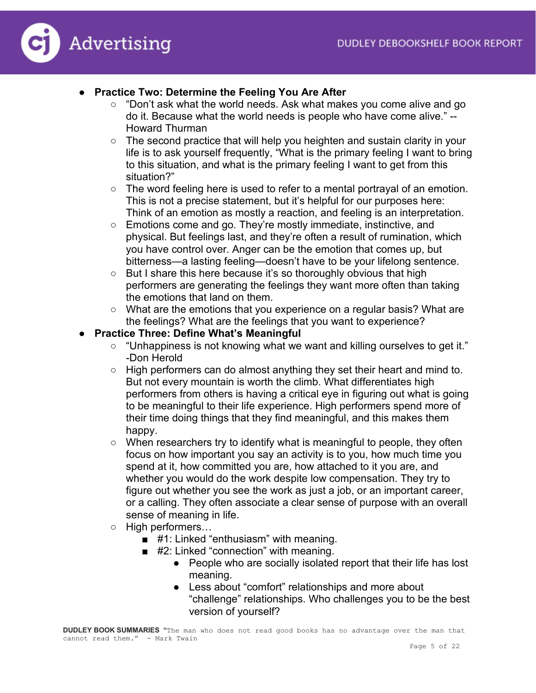

## **Practice Two: Determine the Feeling You Are After**

- "Don't ask what the world needs. Ask what makes you come alive and go do it. Because what the world needs is people who have come alive." -- Howard Thurman
- The second practice that will help you heighten and sustain clarity in your life is to ask yourself frequently, "What is the primary feeling I want to bring to this situation, and what is the primary feeling I want to get from this situation?"
- The word feeling here is used to refer to a mental portrayal of an emotion. This is not a precise statement, but it's helpful for our purposes here: Think of an emotion as mostly a reaction, and feeling is an interpretation.
- Emotions come and go. They're mostly immediate, instinctive, and physical. But feelings last, and they're often a result of rumination, which you have control over. Anger can be the emotion that comes up, but bitterness—a lasting feeling—doesn't have to be your lifelong sentence.
- But I share this here because it's so thoroughly obvious that high performers are generating the feelings they want more often than taking the emotions that land on them.
- What are the emotions that you experience on a regular basis? What are the feelings? What are the feelings that you want to experience?
- **Practice Three: Define What's Meaningful** 
	- "Unhappiness is not knowing what we want and killing ourselves to get it." -Don Herold
	- High performers can do almost anything they set their heart and mind to. But not every mountain is worth the climb. What differentiates high performers from others is having a critical eye in figuring out what is going to be meaningful to their life experience. High performers spend more of their time doing things that they find meaningful, and this makes them happy.
	- When researchers try to identify what is meaningful to people, they often focus on how important you say an activity is to you, how much time you spend at it, how committed you are, how attached to it you are, and whether you would do the work despite low compensation. They try to figure out whether you see the work as just a job, or an important career, or a calling. They often associate a clear sense of purpose with an overall sense of meaning in life.
	- High performers…
		- $\blacksquare$  #1: Linked "enthusiasm" with meaning.
		- #2: Linked "connection" with meaning.
			- People who are socially isolated report that their life has lost meaning.
			- Less about "comfort" relationships and more about "challenge" relationships. Who challenges you to be the best version of yourself?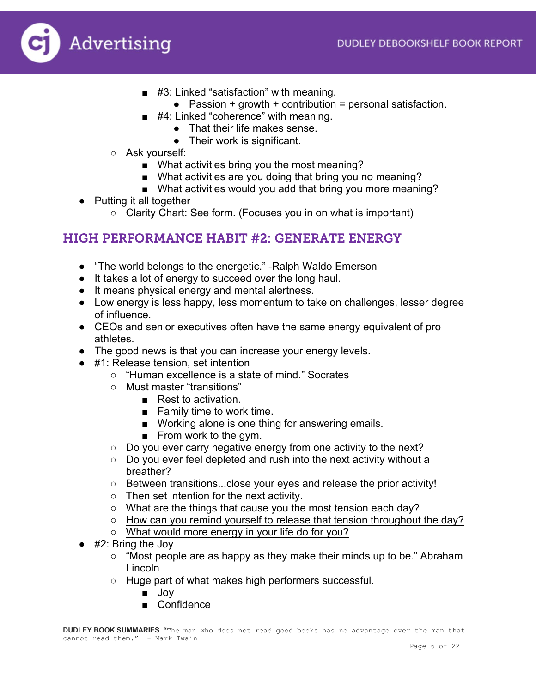

- #3: Linked "satisfaction" with meaning.
	- $\bullet$  Passion + growth + contribution = personal satisfaction.
- #4: Linked "coherence" with meaning.
	- That their life makes sense.
	- Their work is significant.
- Ask yourself:
	- What activities bring you the most meaning?
	- What activities are you doing that bring you no meaning?
	- What activities would you add that bring you more meaning?
- Putting it all together
	- Clarity Chart: See form. (Focuses you in on what is important)

# HIGH PERFORMANCE HABIT #2: GENERATE ENERGY

- "The world belongs to the energetic." -Ralph Waldo Emerson
- It takes a lot of energy to succeed over the long haul.
- It means physical energy and mental alertness.
- Low energy is less happy, less momentum to take on challenges, lesser degree of influence.
- CEOs and senior executives often have the same energy equivalent of pro athletes.
- The good news is that you can increase your energy levels.
- #1: Release tension, set intention
	- "Human excellence is a state of mind." Socrates
	- Must master "transitions"
		- Rest to activation.
		- Family time to work time.
		- Working alone is one thing for answering emails.
		- From work to the gym.
	- Do you ever carry negative energy from one activity to the next?
	- Do you ever feel depleted and rush into the next activity without a breather?
	- Between transitions...close your eyes and release the prior activity!
	- Then set intention for the next activity.
	- What are the things that cause you the most tension each day?
	- How can you remind yourself to release that tension throughout the day?
	- What would more energy in your life do for you?
- $\bullet$  #2: Bring the Joy
	- "Most people are as happy as they make their minds up to be." Abraham Lincoln
	- Huge part of what makes high performers successful.
		- Joy
		- Confidence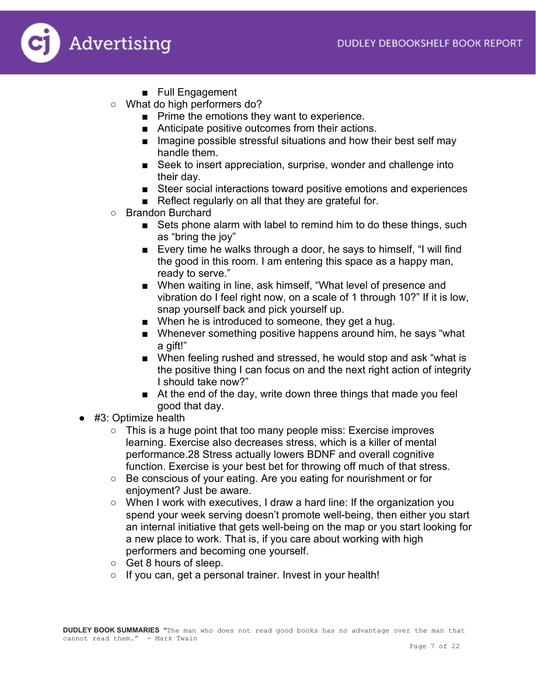

- Full Engagement
- What do high performers do?
	- Prime the emotions they want to experience.
	- Anticipate positive outcomes from their actions.
	- Imagine possible stressful situations and how their best self may handle them.
	- Seek to insert appreciation, surprise, wonder and challenge into their day.
	- Steer social interactions toward positive emotions and experiences
	- Reflect regularly on all that they are grateful for.
- Brandon Burchard
	- Sets phone alarm with label to remind him to do these things, such as "bring the joy"
	- Every time he walks through a door, he says to himself, "I will find the good in this room. I am entering this space as a happy man, ready to serve."
	- When waiting in line, ask himself, "What level of presence and vibration do I feel right now, on a scale of 1 through 10?" If it is low, snap yourself back and pick yourself up.
	- When he is introduced to someone, they get a hug.
	- Whenever something positive happens around him, he says "what a gift!"
	- When feeling rushed and stressed, he would stop and ask "what is the positive thing I can focus on and the next right action of integrity I should take now?"
	- At the end of the day, write down three things that made you feel good that day.
- #3: Optimize health
	- This is a huge point that too many people miss: Exercise improves learning. Exercise also decreases stress, which is a killer of mental performance.28 Stress actually lowers BDNF and overall cognitive function. Exercise is your best bet for throwing off much of that stress.
	- Be conscious of your eating. Are you eating for nourishment or for enjoyment? Just be aware.
	- When I work with executives, I draw a hard line: If the organization you spend your week serving doesn't promote well-being, then either you start an internal initiative that gets well-being on the map or you start looking for a new place to work. That is, if you care about working with high performers and becoming one yourself.
	- Get 8 hours of sleep.
	- If you can, get a personal trainer. Invest in your health!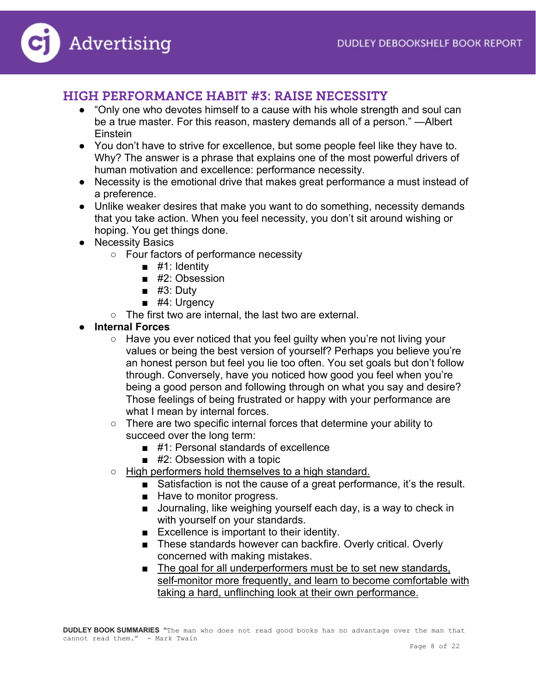

# HIGH PERFORMANCE HABIT #3: RAISE NECESSITY

- "Only one who devotes himself to a cause with his whole strength and soul can be a true master. For this reason, mastery demands all of a person." —Albert **Einstein**
- You don't have to strive for excellence, but some people feel like they have to. Why? The answer is a phrase that explains one of the most powerful drivers of human motivation and excellence: performance necessity.
- Necessity is the emotional drive that makes great performance a must instead of a preference.
- Unlike weaker desires that make you want to do something, necessity demands that you take action. When you feel necessity, you don't sit around wishing or hoping. You get things done.
- Necessity Basics
	- Four factors of performance necessity
		- $\blacksquare$  #1: Identity
		- #2: Obsession
		- $\blacksquare$  #3: Duty
		- #4: Urgency
	- The first two are internal, the last two are external.
- **Internal Forces**
	- Have you ever noticed that you feel guilty when you're not living your values or being the best version of yourself? Perhaps you believe you're an honest person but feel you lie too often. You set goals but don't follow through. Conversely, have you noticed how good you feel when you're being a good person and following through on what you say and desire? Those feelings of being frustrated or happy with your performance are what I mean by internal forces.
	- There are two specific internal forces that determine your ability to succeed over the long term:
		- #1: Personal standards of excellence
		- $\blacksquare$  #2: Obsession with a topic
	- High performers hold themselves to a high standard.
		- Satisfaction is not the cause of a great performance, it's the result.
		- Have to monitor progress.
		- Journaling, like weighing yourself each day, is a way to check in with yourself on your standards.
		- Excellence is important to their identity.
		- These standards however can backfire. Overly critical. Overly concerned with making mistakes.
		- The goal for all underperformers must be to set new standards, self-monitor more frequently, and learn to become comfortable with taking a hard, unflinching look at their own performance.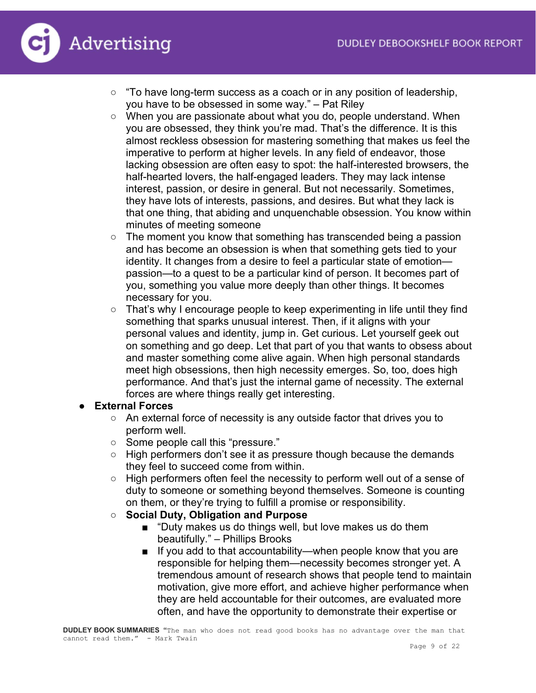

- "To have long-term success as a coach or in any position of leadership, you have to be obsessed in some way." – Pat Riley
- When you are passionate about what you do, people understand. When you are obsessed, they think you're mad. That's the difference. It is this almost reckless obsession for mastering something that makes us feel the imperative to perform at higher levels. In any field of endeavor, those lacking obsession are often easy to spot: the half-interested browsers, the half-hearted lovers, the half-engaged leaders. They may lack intense interest, passion, or desire in general. But not necessarily. Sometimes, they have lots of interests, passions, and desires. But what they lack is that one thing, that abiding and unquenchable obsession. You know within minutes of meeting someone
- The moment you know that something has transcended being a passion and has become an obsession is when that something gets tied to your identity. It changes from a desire to feel a particular state of emotion passion—to a quest to be a particular kind of person. It becomes part of you, something you value more deeply than other things. It becomes necessary for you.
- That's why I encourage people to keep experimenting in life until they find something that sparks unusual interest. Then, if it aligns with your personal values and identity, jump in. Get curious. Let yourself geek out on something and go deep. Let that part of you that wants to obsess about and master something come alive again. When high personal standards meet high obsessions, then high necessity emerges. So, too, does high performance. And that's just the internal game of necessity. The external forces are where things really get interesting.

### **External Forces**

- An external force of necessity is any outside factor that drives you to perform well.
- Some people call this "pressure."
- High performers don't see it as pressure though because the demands they feel to succeed come from within.
- High performers often feel the necessity to perform well out of a sense of duty to someone or something beyond themselves. Someone is counting on them, or they're trying to fulfill a promise or responsibility.
- **Social Duty, Obligation and Purpose**
	- "Duty makes us do things well, but love makes us do them beautifully." – Phillips Brooks
	- If you add to that accountability—when people know that you are responsible for helping them—necessity becomes stronger yet. A tremendous amount of research shows that people tend to maintain motivation, give more effort, and achieve higher performance when they are held accountable for their outcomes, are evaluated more often, and have the opportunity to demonstrate their expertise or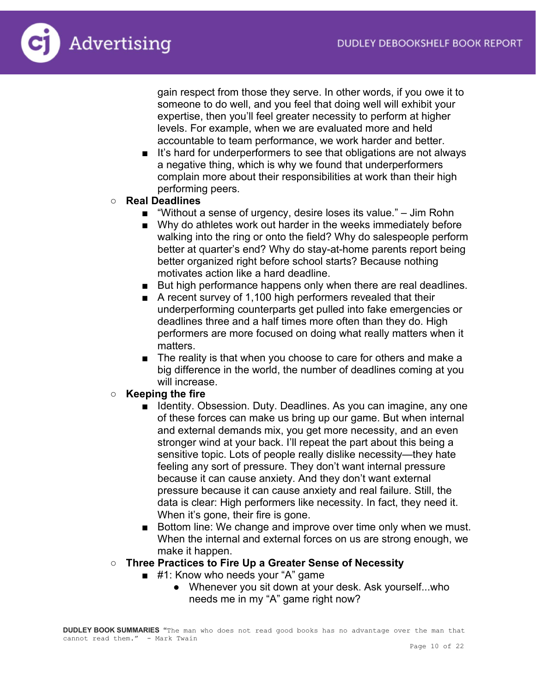

gain respect from those they serve. In other words, if you owe it to someone to do well, and you feel that doing well will exhibit your expertise, then you'll feel greater necessity to perform at higher levels. For example, when we are evaluated more and held accountable to team performance, we work harder and better.

■ It's hard for underperformers to see that obligations are not always a negative thing, which is why we found that underperformers complain more about their responsibilities at work than their high performing peers.

#### ○ **Real Deadlines**

- "Without a sense of urgency, desire loses its value." Jim Rohn
- Why do athletes work out harder in the weeks immediately before walking into the ring or onto the field? Why do salespeople perform better at quarter's end? Why do stay-at-home parents report being better organized right before school starts? Because nothing motivates action like a hard deadline.
- But high performance happens only when there are real deadlines.
- A recent survey of 1,100 high performers revealed that their underperforming counterparts get pulled into fake emergencies or deadlines three and a half times more often than they do. High performers are more focused on doing what really matters when it matters.
- The reality is that when you choose to care for others and make a big difference in the world, the number of deadlines coming at you will increase.

#### ○ **Keeping the fire**

- Identity. Obsession. Duty. Deadlines. As you can imagine, any one of these forces can make us bring up our game. But when internal and external demands mix, you get more necessity, and an even stronger wind at your back. I'll repeat the part about this being a sensitive topic. Lots of people really dislike necessity—they hate feeling any sort of pressure. They don't want internal pressure because it can cause anxiety. And they don't want external pressure because it can cause anxiety and real failure. Still, the data is clear: High performers like necessity. In fact, they need it. When it's gone, their fire is gone.
- Bottom line: We change and improve over time only when we must. When the internal and external forces on us are strong enough, we make it happen.

#### ○ **Three Practices to Fire Up a Greater Sense of Necessity**

- #1: Know who needs your "A" game
	- Whenever you sit down at your desk. Ask yourself...who needs me in my "A" game right now?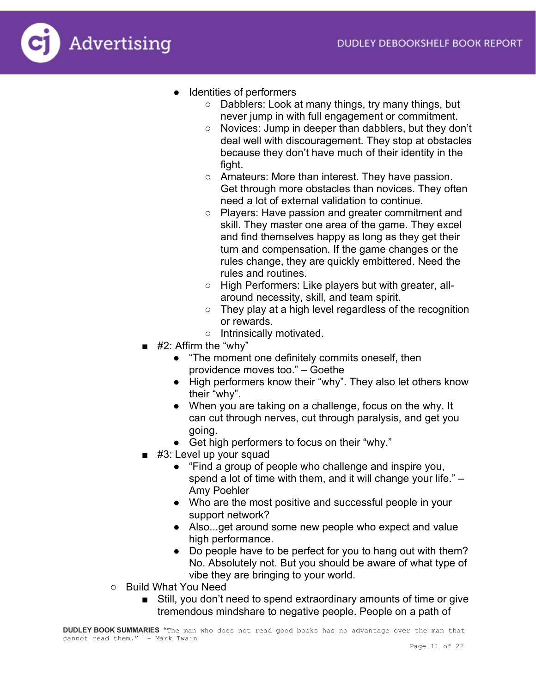

- Identities of performers
	- Dabblers: Look at many things, try many things, but never jump in with full engagement or commitment.
	- Novices: Jump in deeper than dabblers, but they don't deal well with discouragement. They stop at obstacles because they don't have much of their identity in the fight.
	- Amateurs: More than interest. They have passion. Get through more obstacles than novices. They often need a lot of external validation to continue.
	- Players: Have passion and greater commitment and skill. They master one area of the game. They excel and find themselves happy as long as they get their turn and compensation. If the game changes or the rules change, they are quickly embittered. Need the rules and routines.
	- High Performers: Like players but with greater, allaround necessity, skill, and team spirit.
	- They play at a high level regardless of the recognition or rewards.
	- Intrinsically motivated.
- $\blacksquare$  #2: Affirm the "why"
	- "The moment one definitely commits oneself, then providence moves too." – Goethe
	- High performers know their "why". They also let others know their "why".
	- When you are taking on a challenge, focus on the why. It can cut through nerves, cut through paralysis, and get you going.
	- Get high performers to focus on their "why."
- #3: Level up your squad
	- "Find a group of people who challenge and inspire you, spend a lot of time with them, and it will change your life." – Amy Poehler
	- Who are the most positive and successful people in your support network?
	- Also...get around some new people who expect and value high performance.
	- Do people have to be perfect for you to hang out with them? No. Absolutely not. But you should be aware of what type of vibe they are bringing to your world.
- Build What You Need
	- Still, you don't need to spend extraordinary amounts of time or give tremendous mindshare to negative people. People on a path of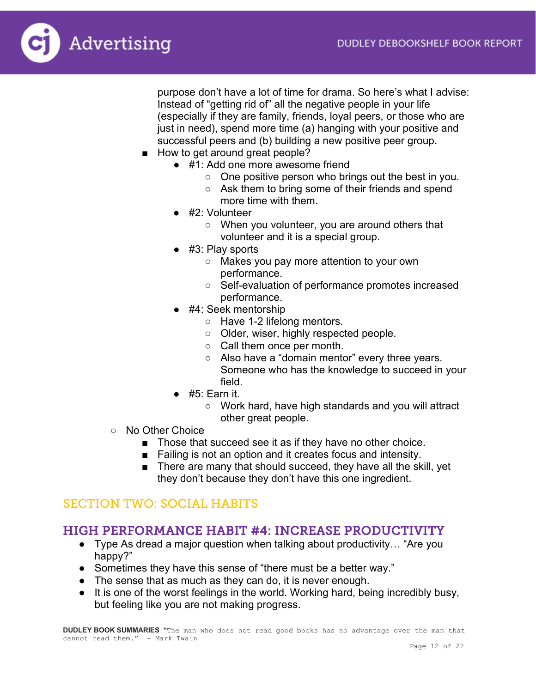

purpose don't have a lot of time for drama. So here's what I advise: Instead of "getting rid of" all the negative people in your life (especially if they are family, friends, loyal peers, or those who are just in need), spend more time (a) hanging with your positive and successful peers and (b) building a new positive peer group.

- How to get around great people?
	- #1: Add one more awesome friend
		- One positive person who brings out the best in you.
		- Ask them to bring some of their friends and spend more time with them.
	- #2: Volunteer
		- When you volunteer, you are around others that volunteer and it is a special group.
	- #3: Play sports
		- Makes you pay more attention to your own performance.
		- Self-evaluation of performance promotes increased performance.
	- #4: Seek mentorship
		- Have 1-2 lifelong mentors.
		- Older, wiser, highly respected people.
		- Call them once per month.
		- Also have a "domain mentor" every three years. Someone who has the knowledge to succeed in your field.
	- $\bullet$  #5: Earn it.
		- Work hard, have high standards and you will attract other great people.
- No Other Choice
	- Those that succeed see it as if they have no other choice.
	- Failing is not an option and it creates focus and intensity.
	- There are many that should succeed, they have all the skill, yet they don't because they don't have this one ingredient.

## SECTION TWO: SOCIAL HABITS

## HIGH PERFORMANCE HABIT #4: INCREASE PRODUCTIVITY

- Type As dread a major question when talking about productivity... "Are you happy?"
- Sometimes they have this sense of "there must be a better way."
- The sense that as much as they can do, it is never enough.
- It is one of the worst feelings in the world. Working hard, being incredibly busy, but feeling like you are not making progress.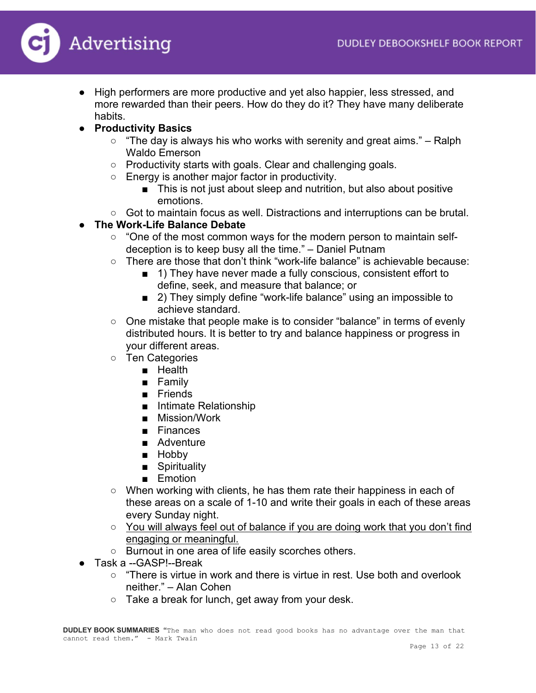

● High performers are more productive and yet also happier, less stressed, and more rewarded than their peers. How do they do it? They have many deliberate habits.

## ● **Productivity Basics**

- $\circ$  "The day is always his who works with serenity and great aims." Ralph Waldo Emerson
- Productivity starts with goals. Clear and challenging goals.
- Energy is another major factor in productivity.
	- This is not just about sleep and nutrition, but also about positive emotions.
- Got to maintain focus as well. Distractions and interruptions can be brutal.

## **The Work-Life Balance Debate**

- "One of the most common ways for the modern person to maintain selfdeception is to keep busy all the time." – Daniel Putnam
- There are those that don't think "work-life balance" is achievable because:
	- 1) They have never made a fully conscious, consistent effort to define, seek, and measure that balance; or
	- 2) They simply define "work-life balance" using an impossible to achieve standard.
- One mistake that people make is to consider "balance" in terms of evenly distributed hours. It is better to try and balance happiness or progress in your different areas.
- Ten Categories
	- Health
		- Family
		- Friends
		- Intimate Relationship
		- Mission/Work
		- Finances
	- Adventure
	- Hobby
	- Spirituality
	- Emotion
- When working with clients, he has them rate their happiness in each of these areas on a scale of 1-10 and write their goals in each of these areas every Sunday night.
- You will always feel out of balance if you are doing work that you don't find engaging or meaningful.
- Burnout in one area of life easily scorches others.
- Task a --GASP!--Break
	- "There is virtue in work and there is virtue in rest. Use both and overlook neither." – Alan Cohen
	- Take a break for lunch, get away from your desk.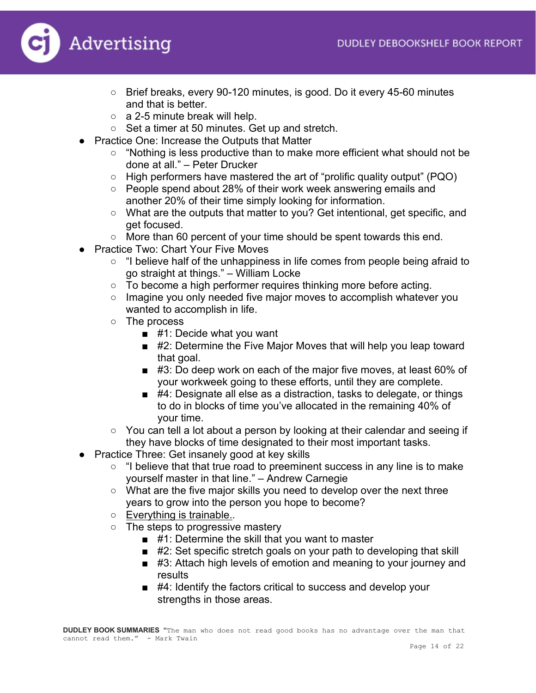

- Brief breaks, every 90-120 minutes, is good. Do it every 45-60 minutes and that is better.
- $\circ$  a 2-5 minute break will help.
- Set a timer at 50 minutes. Get up and stretch.
- **Practice One: Increase the Outputs that Matter** 
	- "Nothing is less productive than to make more efficient what should not be done at all." – Peter Drucker
	- High performers have mastered the art of "prolific quality output" (PQO)
	- People spend about 28% of their work week answering emails and another 20% of their time simply looking for information.
	- What are the outputs that matter to you? Get intentional, get specific, and get focused.
	- More than 60 percent of your time should be spent towards this end.
- Practice Two: Chart Your Five Moves
	- "I believe half of the unhappiness in life comes from people being afraid to go straight at things." – William Locke
	- To become a high performer requires thinking more before acting.
	- Imagine you only needed five major moves to accomplish whatever you wanted to accomplish in life.
	- The process
		- $\blacksquare$  #1: Decide what you want
		- #2: Determine the Five Major Moves that will help you leap toward that goal.
		- #3: Do deep work on each of the major five moves, at least 60% of your workweek going to these efforts, until they are complete.
		- #4: Designate all else as a distraction, tasks to delegate, or things to do in blocks of time you've allocated in the remaining 40% of your time.
	- You can tell a lot about a person by looking at their calendar and seeing if they have blocks of time designated to their most important tasks.
- **Practice Three: Get insanely good at key skills** 
	- "I believe that that true road to preeminent success in any line is to make yourself master in that line." – Andrew Carnegie
	- What are the five major skills you need to develop over the next three years to grow into the person you hope to become?
	- o **Everything is trainable..**
	- The steps to progressive mastery
		- $\blacksquare$  #1: Determine the skill that you want to master
		- #2: Set specific stretch goals on your path to developing that skill
		- #3: Attach high levels of emotion and meaning to your journey and results
		- #4: Identify the factors critical to success and develop your strengths in those areas.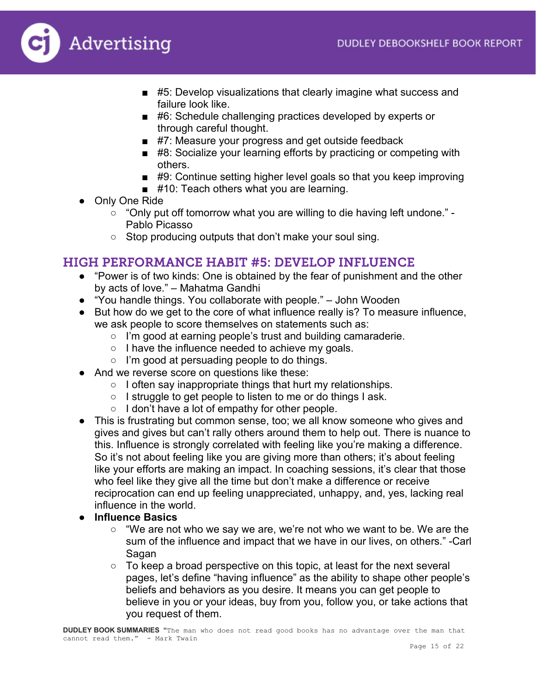

- #5: Develop visualizations that clearly imagine what success and failure look like.
- #6: Schedule challenging practices developed by experts or through careful thought.
- #7: Measure your progress and get outside feedback
- #8: Socialize your learning efforts by practicing or competing with others.
- #9: Continue setting higher level goals so that you keep improving
- #10: Teach others what you are learning.
- Only One Ride
	- "Only put off tomorrow what you are willing to die having left undone." Pablo Picasso
	- Stop producing outputs that don't make your soul sing.

## HIGH PERFORMANCE HABIT #5: DEVELOP INFLUENCE

- "Power is of two kinds: One is obtained by the fear of punishment and the other by acts of love." – Mahatma Gandhi
- "You handle things. You collaborate with people." John Wooden
- But how do we get to the core of what influence really is? To measure influence, we ask people to score themselves on statements such as:
	- I'm good at earning people's trust and building camaraderie.
	- I have the influence needed to achieve my goals.
	- I'm good at persuading people to do things.
- And we reverse score on questions like these:
	- I often say inappropriate things that hurt my relationships.
	- I struggle to get people to listen to me or do things I ask.
	- I don't have a lot of empathy for other people.
- This is frustrating but common sense, too; we all know someone who gives and gives and gives but can't rally others around them to help out. There is nuance to this. Influence is strongly correlated with feeling like you're making a difference. So it's not about feeling like you are giving more than others; it's about feeling like your efforts are making an impact. In coaching sessions, it's clear that those who feel like they give all the time but don't make a difference or receive reciprocation can end up feeling unappreciated, unhappy, and, yes, lacking real influence in the world.
- **Influence Basics**
	- "We are not who we say we are, we're not who we want to be. We are the sum of the influence and impact that we have in our lives, on others." -Carl Sagan
	- To keep a broad perspective on this topic, at least for the next several pages, let's define "having influence" as the ability to shape other people's beliefs and behaviors as you desire. It means you can get people to believe in you or your ideas, buy from you, follow you, or take actions that you request of them.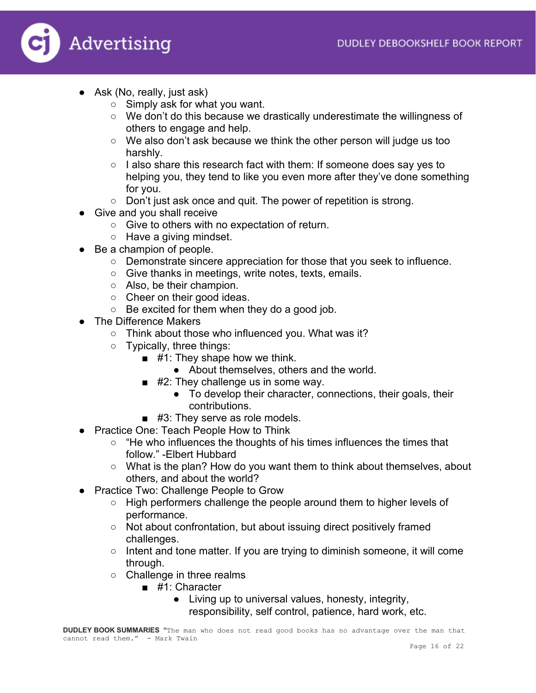

- Ask (No, really, just ask)
	- Simply ask for what you want.
	- We don't do this because we drastically underestimate the willingness of others to engage and help.
	- We also don't ask because we think the other person will judge us too harshly.
	- I also share this research fact with them: If someone does say yes to helping you, they tend to like you even more after they've done something for you.
	- Don't just ask once and quit. The power of repetition is strong.
- Give and you shall receive
	- Give to others with no expectation of return.
	- Have a giving mindset.
- Be a champion of people.
	- Demonstrate sincere appreciation for those that you seek to influence.
	- Give thanks in meetings, write notes, texts, emails.
	- Also, be their champion.
	- Cheer on their good ideas.
	- Be excited for them when they do a good job.
- The Difference Makers
	- Think about those who influenced you. What was it?
	- Typically, three things:
		- $\blacksquare$  #1: They shape how we think.
			- About themselves, others and the world.
		- $\blacksquare$  #2: They challenge us in some way.
			- To develop their character, connections, their goals, their contributions.
		- #3: They serve as role models.
- Practice One: Teach People How to Think
	- "He who influences the thoughts of his times influences the times that follow." -Elbert Hubbard
	- What is the plan? How do you want them to think about themselves, about others, and about the world?
- **Practice Two: Challenge People to Grow** 
	- High performers challenge the people around them to higher levels of performance.
	- Not about confrontation, but about issuing direct positively framed challenges.
	- Intent and tone matter. If you are trying to diminish someone, it will come through.
	- Challenge in three realms
		- #1: Character
			- Living up to universal values, honesty, integrity, responsibility, self control, patience, hard work, etc.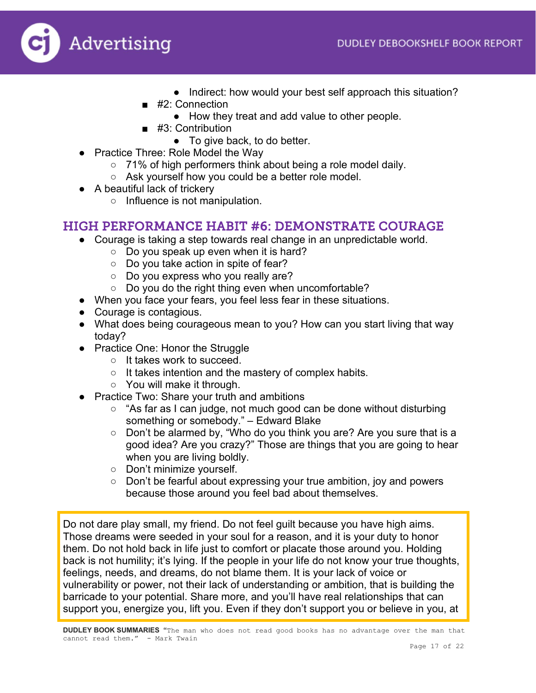

- Indirect: how would your best self approach this situation?
- #2: Connection
	- How they treat and add value to other people.
- #3: Contribution
	- To give back, to do better.
- Practice Three: Role Model the Way
	- 71% of high performers think about being a role model daily.
	- Ask yourself how you could be a better role model.
- A beautiful lack of trickery
	- Influence is not manipulation.

# HIGH PERFORMANCE HABIT #6: DEMONSTRATE COURAGE

- Courage is taking a step towards real change in an unpredictable world.
	- Do you speak up even when it is hard?
	- Do you take action in spite of fear?
	- Do you express who you really are?
	- Do you do the right thing even when uncomfortable?
- When you face your fears, you feel less fear in these situations.
- Courage is contagious.
- What does being courageous mean to you? How can you start living that way today?
- Practice One: Honor the Struggle
	- It takes work to succeed.
	- It takes intention and the mastery of complex habits.
	- You will make it through.
- Practice Two: Share your truth and ambitions
	- "As far as I can judge, not much good can be done without disturbing something or somebody." – Edward Blake
	- Don't be alarmed by, "Who do you think you are? Are you sure that is a good idea? Are you crazy?" Those are things that you are going to hear when you are living boldly.
	- Don't minimize yourself.
	- Don't be fearful about expressing your true ambition, joy and powers because those around you feel bad about themselves.

Do not dare play small, my friend. Do not feel guilt because you have high aims. Those dreams were seeded in your soul for a reason, and it is your duty to honor them. Do not hold back in life just to comfort or placate those around you. Holding back is not humility; it's lying. If the people in your life do not know your true thoughts, feelings, needs, and dreams, do not blame them. It is your lack of voice or vulnerability or power, not their lack of understanding or ambition, that is building the barricade to your potential. Share more, and you'll have real relationships that can support you, energize you, lift you. Even if they don't support you or believe in you, at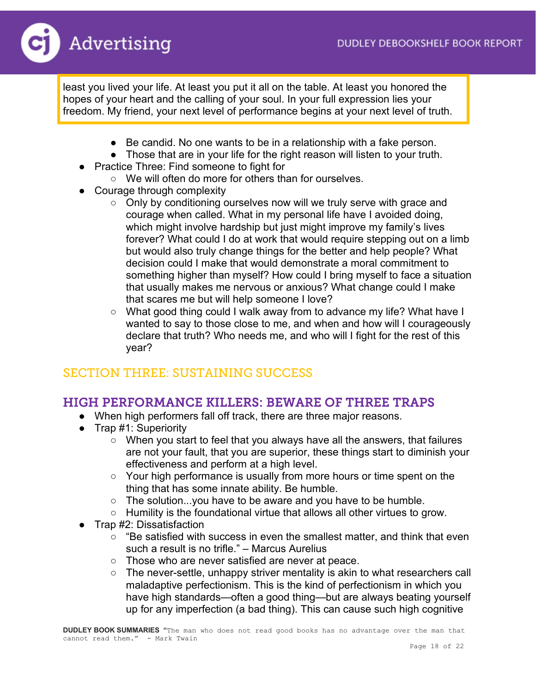

least you lived your life. At least you put it all on the table. At least you honored the hopes of your heart and the calling of your soul. In your full expression lies your freedom. My friend, your next level of performance begins at your next level of truth.

- Be candid. No one wants to be in a relationship with a fake person.
- Those that are in your life for the right reason will listen to your truth.
- Practice Three: Find someone to fight for
	- We will often do more for others than for ourselves.
- Courage through complexity
	- Only by conditioning ourselves now will we truly serve with grace and courage when called. What in my personal life have I avoided doing, which might involve hardship but just might improve my family's lives forever? What could I do at work that would require stepping out on a limb but would also truly change things for the better and help people? What decision could I make that would demonstrate a moral commitment to something higher than myself? How could I bring myself to face a situation that usually makes me nervous or anxious? What change could I make that scares me but will help someone I love?
	- What good thing could I walk away from to advance my life? What have I wanted to say to those close to me, and when and how will I courageously declare that truth? Who needs me, and who will I fight for the rest of this year?

# SECTION THREE: SUSTAINING SUCCESS

## HIGH PERFORMANCE KILLERS: BEWARE OF THREE TRAPS

- When high performers fall off track, there are three major reasons.
- Trap #1: Superiority
	- When you start to feel that you always have all the answers, that failures are not your fault, that you are superior, these things start to diminish your effectiveness and perform at a high level.
	- Your high performance is usually from more hours or time spent on the thing that has some innate ability. Be humble.
	- The solution...you have to be aware and you have to be humble.
	- Humility is the foundational virtue that allows all other virtues to grow.
- Trap #2: Dissatisfaction
	- "Be satisfied with success in even the smallest matter, and think that even such a result is no trifle." – Marcus Aurelius
	- Those who are never satisfied are never at peace.
	- The never-settle, unhappy striver mentality is akin to what researchers call maladaptive perfectionism. This is the kind of perfectionism in which you have high standards—often a good thing—but are always beating yourself up for any imperfection (a bad thing). This can cause such high cognitive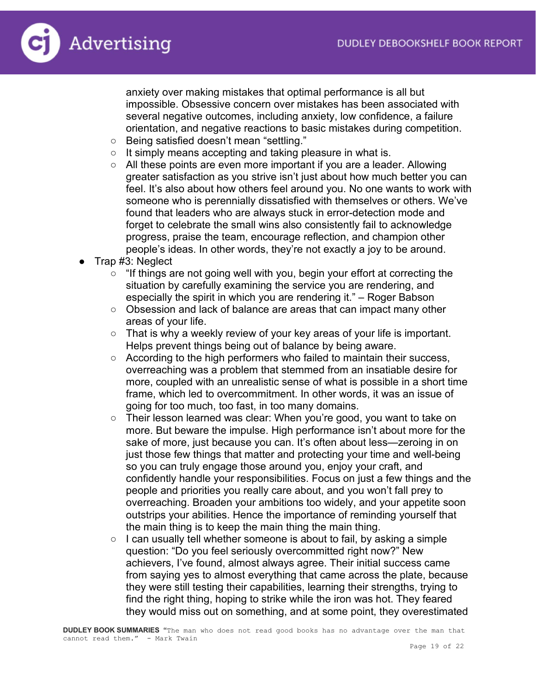Advertising

anxiety over making mistakes that optimal performance is all but impossible. Obsessive concern over mistakes has been associated with several negative outcomes, including anxiety, low confidence, a failure orientation, and negative reactions to basic mistakes during competition.

- Being satisfied doesn't mean "settling."
- It simply means accepting and taking pleasure in what is.
- All these points are even more important if you are a leader. Allowing greater satisfaction as you strive isn't just about how much better you can feel. It's also about how others feel around you. No one wants to work with someone who is perennially dissatisfied with themselves or others. We've found that leaders who are always stuck in error-detection mode and forget to celebrate the small wins also consistently fail to acknowledge progress, praise the team, encourage reflection, and champion other people's ideas. In other words, they're not exactly a joy to be around.
- Trap #3: Neglect
	- "If things are not going well with you, begin your effort at correcting the situation by carefully examining the service you are rendering, and especially the spirit in which you are rendering it." – Roger Babson
	- Obsession and lack of balance are areas that can impact many other areas of your life.
	- That is why a weekly review of your key areas of your life is important. Helps prevent things being out of balance by being aware.
	- According to the high performers who failed to maintain their success, overreaching was a problem that stemmed from an insatiable desire for more, coupled with an unrealistic sense of what is possible in a short time frame, which led to overcommitment. In other words, it was an issue of going for too much, too fast, in too many domains.
	- Their lesson learned was clear: When you're good, you want to take on more. But beware the impulse. High performance isn't about more for the sake of more, just because you can. It's often about less—zeroing in on just those few things that matter and protecting your time and well-being so you can truly engage those around you, enjoy your craft, and confidently handle your responsibilities. Focus on just a few things and the people and priorities you really care about, and you won't fall prey to overreaching. Broaden your ambitions too widely, and your appetite soon outstrips your abilities. Hence the importance of reminding yourself that the main thing is to keep the main thing the main thing.
	- I can usually tell whether someone is about to fail, by asking a simple question: "Do you feel seriously overcommitted right now?" New achievers, I've found, almost always agree. Their initial success came from saying yes to almost everything that came across the plate, because they were still testing their capabilities, learning their strengths, trying to find the right thing, hoping to strike while the iron was hot. They feared they would miss out on something, and at some point, they overestimated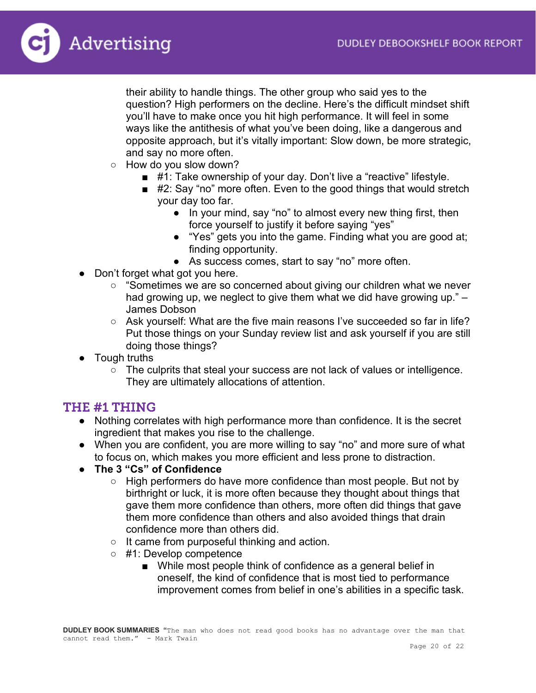

their ability to handle things. The other group who said yes to the question? High performers on the decline. Here's the difficult mindset shift you'll have to make once you hit high performance. It will feel in some ways like the antithesis of what you've been doing, like a dangerous and opposite approach, but it's vitally important: Slow down, be more strategic, and say no more often.

- How do you slow down?
	- #1: Take ownership of your day. Don't live a "reactive" lifestyle.
	- #2: Say "no" more often. Even to the good things that would stretch your day too far.
		- In your mind, say "no" to almost every new thing first, then force yourself to justify it before saying "yes"
		- "Yes" gets you into the game. Finding what you are good at; finding opportunity.
		- As success comes, start to say "no" more often.
- Don't forget what got you here.
	- "Sometimes we are so concerned about giving our children what we never had growing up, we neglect to give them what we did have growing up." – James Dobson
	- Ask yourself: What are the five main reasons I've succeeded so far in life? Put those things on your Sunday review list and ask yourself if you are still doing those things?
- Tough truths
	- The culprits that steal your success are not lack of values or intelligence. They are ultimately allocations of attention.

## THE #1 THING

- Nothing correlates with high performance more than confidence. It is the secret ingredient that makes you rise to the challenge.
- When you are confident, you are more willing to say "no" and more sure of what to focus on, which makes you more efficient and less prone to distraction.
- **The 3 "Cs" of Confidence**
	- High performers do have more confidence than most people. But not by birthright or luck, it is more often because they thought about things that gave them more confidence than others, more often did things that gave them more confidence than others and also avoided things that drain confidence more than others did.
	- It came from purposeful thinking and action.
	- #1: Develop competence
		- While most people think of confidence as a general belief in oneself, the kind of confidence that is most tied to performance improvement comes from belief in one's abilities in a specific task.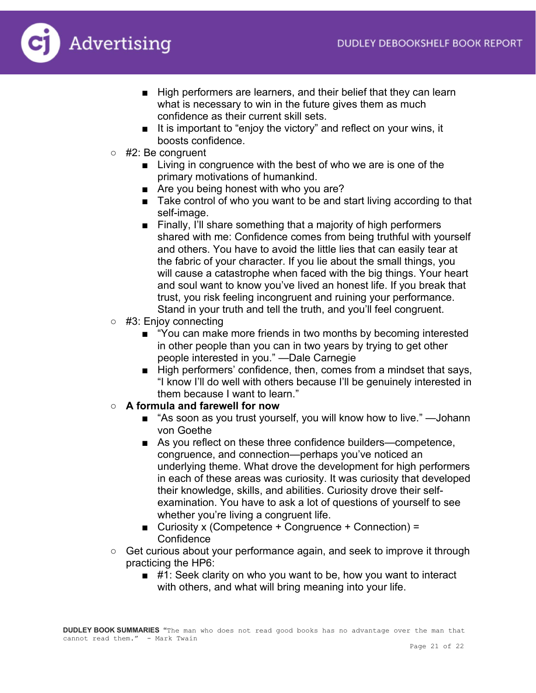

- High performers are learners, and their belief that they can learn what is necessary to win in the future gives them as much confidence as their current skill sets.
- It is important to "enjoy the victory" and reflect on your wins, it boosts confidence.
- $\circ$  #2: Be congruent
	- Living in congruence with the best of who we are is one of the primary motivations of humankind.
	- Are you being honest with who you are?
	- Take control of who you want to be and start living according to that self-image.
	- Finally, I'll share something that a majority of high performers shared with me: Confidence comes from being truthful with yourself and others. You have to avoid the little lies that can easily tear at the fabric of your character. If you lie about the small things, you will cause a catastrophe when faced with the big things. Your heart and soul want to know you've lived an honest life. If you break that trust, you risk feeling incongruent and ruining your performance. Stand in your truth and tell the truth, and you'll feel congruent.
- #3: Enjoy connecting
	- "You can make more friends in two months by becoming interested in other people than you can in two years by trying to get other people interested in you." —Dale Carnegie
	- High performers' confidence, then, comes from a mindset that says, "I know I'll do well with others because I'll be genuinely interested in them because I want to learn."
- **A formula and farewell for now**
	- "As soon as you trust yourself, you will know how to live." —Johann von Goethe
	- As you reflect on these three confidence builders—competence, congruence, and connection—perhaps you've noticed an underlying theme. What drove the development for high performers in each of these areas was curiosity. It was curiosity that developed their knowledge, skills, and abilities. Curiosity drove their selfexamination. You have to ask a lot of questions of yourself to see whether you're living a congruent life.
	- Curiosity x (Competence + Congruence + Connection) = **Confidence**
- Get curious about your performance again, and seek to improve it through practicing the HP6:
	- #1: Seek clarity on who you want to be, how you want to interact with others, and what will bring meaning into your life.